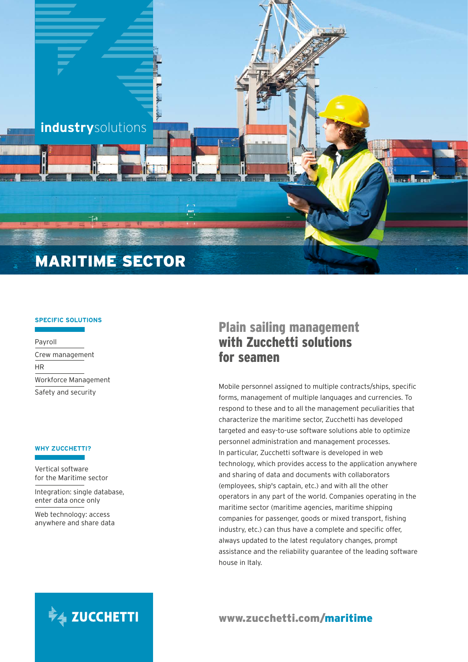

## **SPECIFIC SOLUTIONS**

Payroll Crew management HR Workforce Management Safety and security

### **WHY ZUCCHETTI?**

Vertical software for the Maritime sector

Integration: single database, enter data once only

Web technology: access anywhere and share data

# Plain sailing management with Zucchetti solutions for seamen

Mobile personnel assigned to multiple contracts/ships, specific forms, management of multiple languages and currencies. To respond to these and to all the management peculiarities that characterize the maritime sector, Zucchetti has developed targeted and easy-to-use software solutions able to optimize personnel administration and management processes. In particular, Zucchetti software is developed in web technology, which provides access to the application anywhere and sharing of data and documents with collaborators (employees, ship's captain, etc.) and with all the other operators in any part of the world. Companies operating in the maritime sector (maritime agencies, maritime shipping companies for passenger, goods or mixed transport, fishing industry, etc.) can thus have a complete and specific offer, always updated to the latest regulatory changes, prompt assistance and the reliability guarantee of the leading software house in Italy.



[www.zucchetti.com/maritime](http://www.zucchetti.com/worldwide/cms/categories/2081-maritime-industry.html)